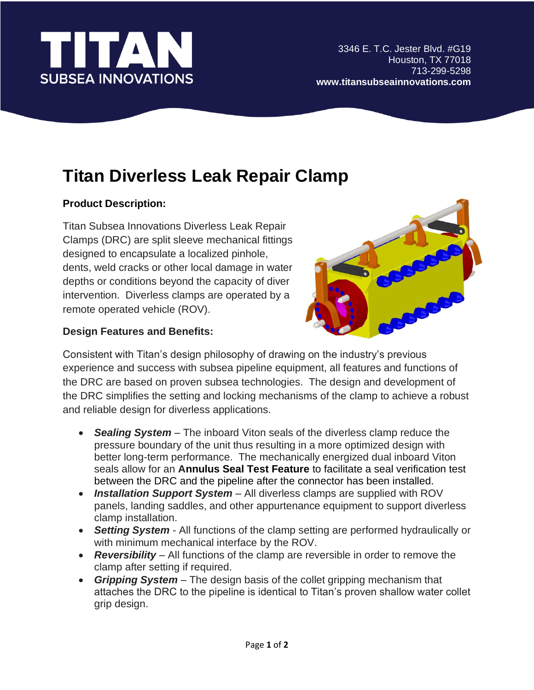

l

# **Titan Diverless Leak Repair Clamp**

## **Product Description:**

Titan Subsea Innovations Diverless Leak Repair Clamps (DRC) are split sleeve mechanical fittings designed to encapsulate a localized pinhole, dents, weld cracks or other local damage in water depths or conditions beyond the capacity of diver intervention. Diverless clamps are operated by a remote operated vehicle (ROV).

### **Design Features and Benefits:**



Consistent with Titan's design philosophy of drawing on the industry's previous experience and success with subsea pipeline equipment, all features and functions of the DRC are based on proven subsea technologies. The design and development of the DRC simplifies the setting and locking mechanisms of the clamp to achieve a robust and reliable design for diverless applications.

- *Sealing System* The inboard Viton seals of the diverless clamp reduce the pressure boundary of the unit thus resulting in a more optimized design with better long-term performance. The mechanically energized dual inboard Viton seals allow for an **Annulus Seal Test Feature** to facilitate a seal verification test between the DRC and the pipeline after the connector has been installed.
- *Installation Support System* All diverless clamps are supplied with ROV panels, landing saddles, and other appurtenance equipment to support diverless clamp installation.
- *Setting System* All functions of the clamp setting are performed hydraulically or with minimum mechanical interface by the ROV.
- *Reversibility* All functions of the clamp are reversible in order to remove the clamp after setting if required.
- *Gripping System* The design basis of the collet gripping mechanism that attaches the DRC to the pipeline is identical to Titan's proven shallow water collet grip design.